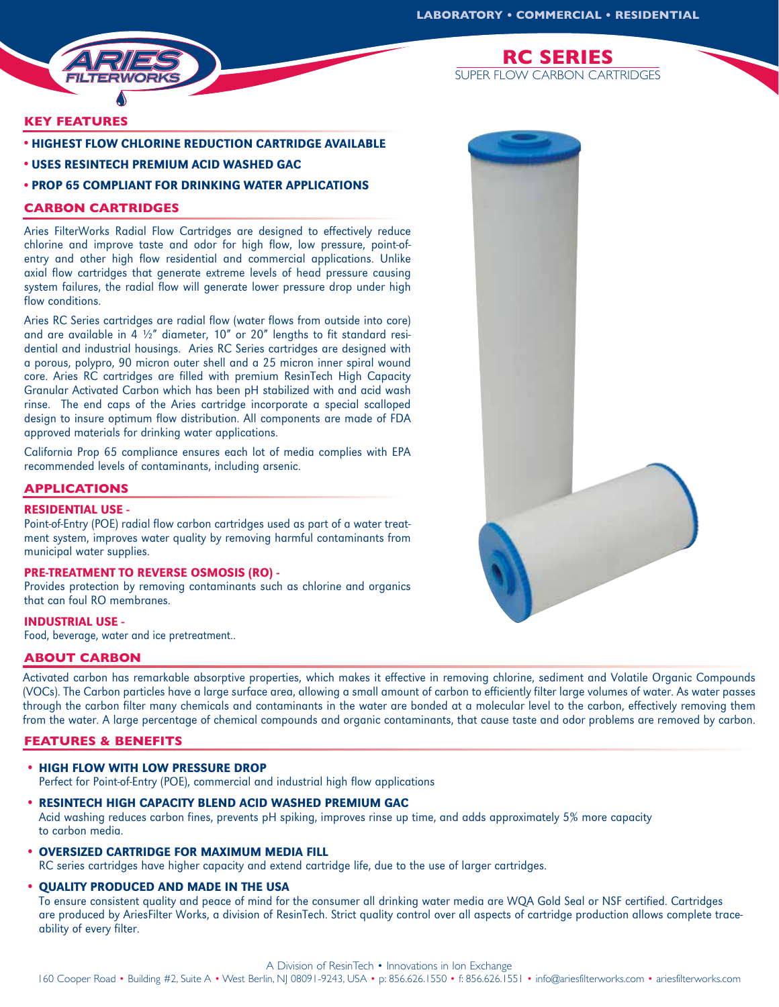

**KEY FEATURES**

**•** HIGHEST FLOW CHLORINE REDUCTION CARTRIDGE AVAILABLE

**•** USES RESINTECH PREMIUM ACID WASHED GAC

### **•** PROP 65 COMPLIANT FOR DRINKING WATER APPLICATIONS

# **CARBON CARTRIDGES**

Aries FilterWorks Radial Flow Cartridges are designed to effectively reduce chlorine and improve taste and odor for high flow, low pressure, point-ofentry and other high flow residential and commercial applications. Unlike axial flow cartridges that generate extreme levels of head pressure causing system failures, the radial flow will generate lower pressure drop under high flow conditions.

Aries RC Series cartridges are radial flow (water flows from outside into core) and are available in  $4\frac{1}{2}$  diameter, 10" or 20" lengths to fit standard residential and industrial housings. Aries RC Series cartridges are designed with a porous, polypro, 90 micron outer shell and a 25 micron inner spiral wound core. Aries RC cartridges are filled with premium ResinTech High Capacity Granular Activated Carbon which has been pH stabilized with and acid wash rinse. The end caps of the Aries cartridge incorporate a special scalloped design to insure optimum flow distribution. All components are made of FDA approved materials for drinking water applications.

California Prop 65 compliance ensures each lot of media complies with EPA recommended levels of contaminants, including arsenic.

## **APPLICATIONS**

#### RESIDENTIAL USE -

Point-of-Entry (POE) radial flow carbon cartridges used as part of a water treatment system, improves water quality by removing harmful contaminants from municipal water supplies.

#### PRE-TREATMENT TO REVERSE OSMOSIS (RO) -

Provides protection by removing contaminants such as chlorine and organics that can foul RO membranes.

#### INDUSTRIAL USE -

Food, beverage, water and ice pretreatment..

### **ABOUT CARBON**

Activated carbon has remarkable absorptive properties, which makes it effective in removing chlorine, sediment and Volatile Organic Compounds (VOCs). The Carbon particles have a large surface area, allowing a small amount of carbon to efficiently filter large volumes of water. As water passes through the carbon filter many chemicals and contaminants in the water are bonded at a molecular level to the carbon, effectively removing them from the water. A large percentage of chemical compounds and organic contaminants, that cause taste and odor problems are removed by carbon.

# **FEATURES & BENEFITS**

• HIGH FLOW WITH LOW PRESSURE DROP

Perfect for Point-of-Entry (POE), commercial and industrial high flow applications

- RESINTECH HIGH CAPACITY BLEND ACID WASHED PREMIUM GAC Acid washing reduces carbon fines, prevents pH spiking, improves rinse up time, and adds approximately 5% more capacity to carbon media.
- OVERSIZED CARTRIDGE FOR MAXIMUM MEDIA FILL

RC series cartridges have higher capacity and extend cartridge life, due to the use of larger cartridges.

• QUALITY PRODUCED AND MADE IN THE USA

To ensure consistent quality and peace of mind for the consumer all drinking water media are WQA Gold Seal or NSF certified. Cartridges are produced by AriesFilter Works, a division of ResinTech. Strict quality control over all aspects of cartridge production allows complete traceability of every filter.